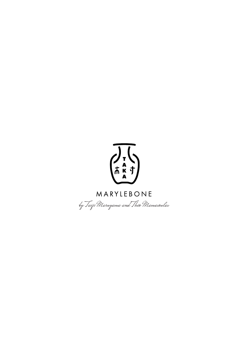